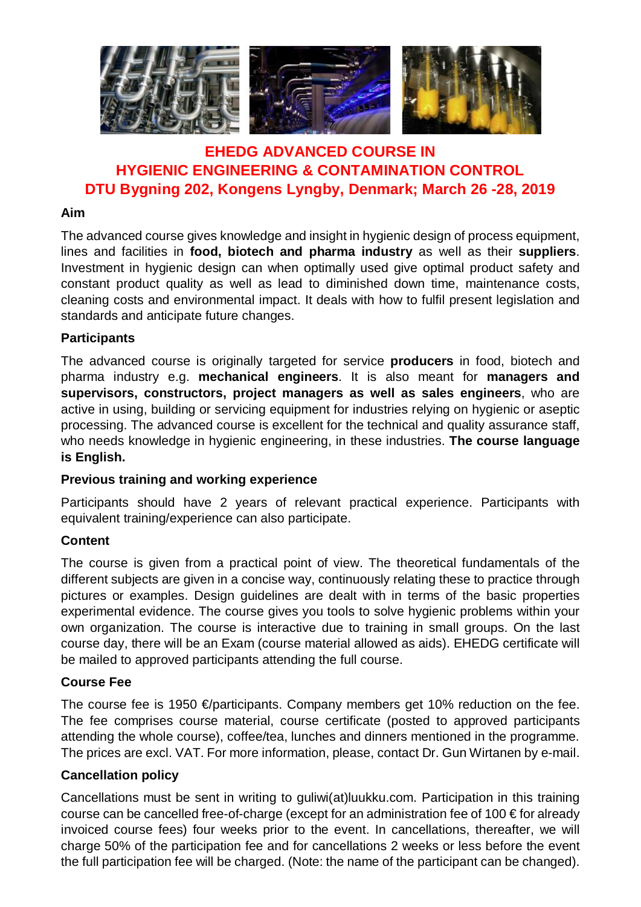

## **EHEDG ADVANCED COURSE IN HYGIENIC ENGINEERING & CONTAMINATION CONTROL DTU Bygning 202, Kongens Lyngby, Denmark; March 26 -28, 2019**

#### **Aim**

The advanced course gives knowledge and insight in hygienic design of process equipment, lines and facilities in **food, biotech and pharma industry** as well as their **suppliers**. Investment in hygienic design can when optimally used give optimal product safety and constant product quality as well as lead to diminished down time, maintenance costs, cleaning costs and environmental impact. It deals with how to fulfil present legislation and standards and anticipate future changes.

#### **Participants**

The advanced course is originally targeted for service **producers** in food, biotech and pharma industry e.g. **mechanical engineers**. It is also meant for **managers and supervisors, constructors, project managers as well as sales engineers**, who are active in using, building or servicing equipment for industries relying on hygienic or aseptic processing. The advanced course is excellent for the technical and quality assurance staff, who needs knowledge in hygienic engineering, in these industries. **The course language is English.**

#### **Previous training and working experience**

Participants should have 2 years of relevant practical experience. Participants with equivalent training/experience can also participate.

#### **Content**

The course is given from a practical point of view. The theoretical fundamentals of the different subjects are given in a concise way, continuously relating these to practice through pictures or examples. Design guidelines are dealt with in terms of the basic properties experimental evidence. The course gives you tools to solve hygienic problems within your own organization. The course is interactive due to training in small groups. On the last course day, there will be an Exam (course material allowed as aids). EHEDG certificate will be mailed to approved participants attending the full course.

#### **Course Fee**

The course fee is 1950  $\epsilon$ /participants. Company members get 10% reduction on the fee. The fee comprises course material, course certificate (posted to approved participants attending the whole course), coffee/tea, lunches and dinners mentioned in the programme. The prices are excl. VAT. For more information, please, contact Dr. Gun Wirtanen by e-mail.

#### **Cancellation policy**

Cancellations must be sent in writing to guliwi(at)luukku.com. Participation in this training course can be cancelled free-of-charge (except for an administration fee of 100 € for already invoiced course fees) four weeks prior to the event. In cancellations, thereafter, we will charge 50% of the participation fee and for cancellations 2 weeks or less before the event the full participation fee will be charged. (Note: the name of the participant can be changed).